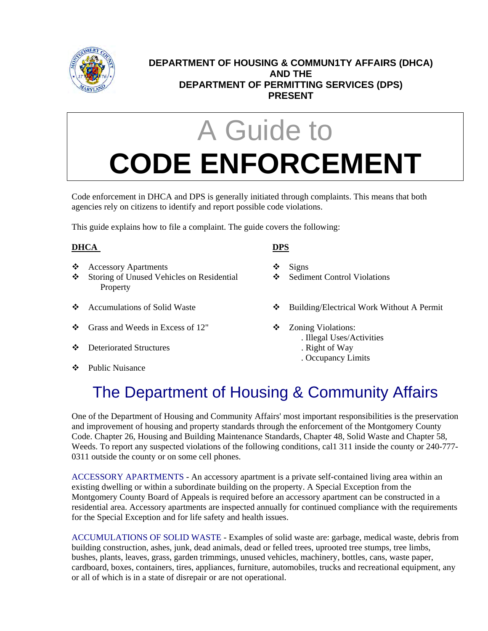

### **DEPARTMENT OF HOUSING & COMMUN1TY AFFAIRS (DHCA) AND THE DEPARTMENT OF PERMITTING SERVICES (DPS) PRESENT**

# A Guide to **CODE ENFORCEMENT**

Code enforcement in DHCA and DPS is generally initiated through complaints. This means that both agencies rely on citizens to identify and report possible code violations.

This guide explains how to file a complaint. The guide covers the following:

### **DHCA DPS**

- Accessory Apartments Signs
- Storing of Unused Vehicles on Residential  $\bullet$  Sediment Control Violations **Property**
- 
- $\bullet$  Grass and Weeds in Excess of 12"  $\bullet$  Zoning Violations:
- ◆ Deteriorated Structures . Right of Way
- ❖ Public Nuisance

- 
- 
- ◆ Accumulations of Solid Waste → → Building/Electrical Work Without A Permit
	- - . Illegal Uses/Activities
		-
		- . Occupancy Limits

## The Department of Housing & Community Affairs

One of the Department of Housing and Community Affairs' most important responsibilities is the preservation and improvement of housing and property standards through the enforcement of the Montgomery County Code. Chapter 26, Housing and Building Maintenance Standards, Chapter 48, Solid Waste and Chapter 58, Weeds. To report any suspected violations of the following conditions, cal1 311 inside the county or 240-777- 0311 outside the county or on some cell phones.

ACCESSORY APARTMENTS - An accessory apartment is a private self-contained living area within an existing dwelling or within a subordinate building on the property. A Special Exception from the Montgomery County Board of Appeals is required before an accessory apartment can be constructed in a residential area. Accessory apartments are inspected annually for continued compliance with the requirements for the Special Exception and for life safety and health issues.

ACCUMULATIONS OF SOLID WASTE - Examples of solid waste are: garbage, medical waste, debris from building construction, ashes, junk, dead animals, dead or felled trees, uprooted tree stumps, tree limbs, bushes, plants, leaves, grass, garden trimmings, unused vehicles, machinery, bottles, cans, waste paper, cardboard, boxes, containers, tires, appliances, furniture, automobiles, trucks and recreational equipment, any or all of which is in a state of disrepair or are not operational.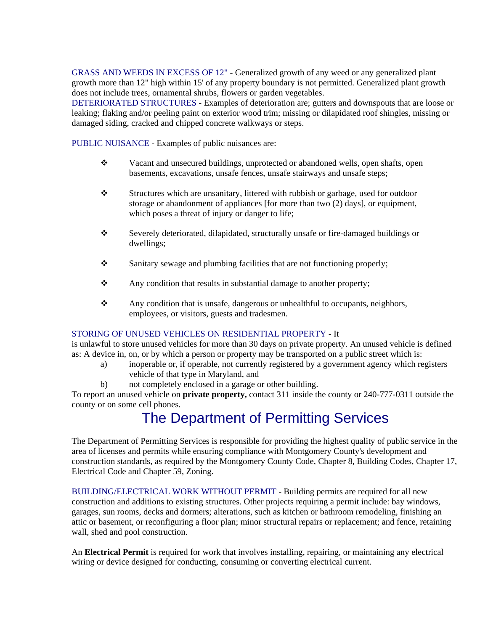GRASS AND WEEDS IN EXCESS OF 12" - Generalized growth of any weed or any generalized plant growth more than 12" high within 15' of any property boundary is not permitted. Generalized plant growth does not include trees, ornamental shrubs, flowers or garden vegetables.

DETERIORATED STRUCTURES - Examples of deterioration are; gutters and downspouts that are loose or leaking; flaking and/or peeling paint on exterior wood trim; missing or dilapidated roof shingles, missing or damaged siding, cracked and chipped concrete walkways or steps.

PUBLIC NUISANCE - Examples of public nuisances are:

- Vacant and unsecured buildings, unprotected or abandoned wells, open shafts, open basements, excavations, unsafe fences, unsafe stairways and unsafe steps;
- Structures which are unsanitary, littered with rubbish or garbage, used for outdoor storage or abandonment of appliances [for more than two (2) days], or equipment, which poses a threat of injury or danger to life;
- Severely deteriorated, dilapidated, structurally unsafe or fire-damaged buildings or dwellings;
- $\mathbf{\hat{S}}$  Sanitary sewage and plumbing facilities that are not functioning properly;
- \* Any condition that results in substantial damage to another property;
- Any condition that is unsafe, dangerous or unhealthful to occupants, neighbors, employees, or visitors, guests and tradesmen.

#### STORING OF UNUSED VEHICLES ON RESIDENTIAL PROPERTY - It

is unlawful to store unused vehicles for more than 30 days on private property. An unused vehicle is defined as: A device in, on, or by which a person or property may be transported on a public street which is:

- a) inoperable or, if operable, not currently registered by a government agency which registers vehicle of that type in Maryland, and
- b) not completely enclosed in a garage or other building.

To report an unused vehicle on **private property,** contact 311 inside the county or 240-777-0311 outside the county or on some cell phones.

### The Department of Permitting Services

The Department of Permitting Services is responsible for providing the highest quality of public service in the area of licenses and permits while ensuring compliance with Montgomery County's development and construction standards, as required by the Montgomery County Code, Chapter 8, Building Codes, Chapter 17, Electrical Code and Chapter 59, Zoning.

BUILDING/ELECTRICAL WORK WITHOUT PERMIT - Building permits are required for all new construction and additions to existing structures. Other projects requiring a permit include: bay windows, garages, sun rooms, decks and dormers; alterations, such as kitchen or bathroom remodeling, finishing an attic or basement, or reconfiguring a floor plan; minor structural repairs or replacement; and fence, retaining wall, shed and pool construction.

An **Electrical Permit** is required for work that involves installing, repairing, or maintaining any electrical wiring or device designed for conducting, consuming or converting electrical current.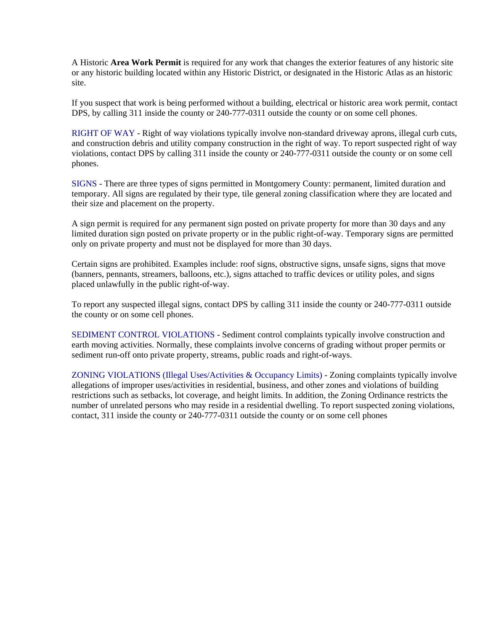A Historic **Area Work Permit** is required for any work that changes the exterior features of any historic site or any historic building located within any Historic District, or designated in the Historic Atlas as an historic site.

If you suspect that work is being performed without a building, electrical or historic area work permit, contact DPS, by calling 311 inside the county or 240-777-0311 outside the county or on some cell phones.

RIGHT OF WAY - Right of way violations typically involve non-standard driveway aprons, illegal curb cuts, and construction debris and utility company construction in the right of way. To report suspected right of way violations, contact DPS by calling 311 inside the county or 240-777-0311 outside the county or on some cell phones.

SIGNS - There are three types of signs permitted in Montgomery County: permanent, limited duration and temporary. All signs are regulated by their type, tile general zoning classification where they are located and their size and placement on the property.

A sign permit is required for any permanent sign posted on private property for more than 30 days and any limited duration sign posted on private property or in the public right-of-way. Temporary signs are permitted only on private property and must not be displayed for more than 30 days.

Certain signs are prohibited. Examples include: roof signs, obstructive signs, unsafe signs, signs that move (banners, pennants, streamers, balloons, etc.), signs attached to traffic devices or utility poles, and signs placed unlawfully in the public right-of-way.

To report any suspected illegal signs, contact DPS by calling 311 inside the county or 240-777-0311 outside the county or on some cell phones.

SEDIMENT CONTROL VIOLATIONS - Sediment control complaints typically involve construction and earth moving activities. Normally, these complaints involve concerns of grading without proper permits or sediment run-off onto private property, streams, public roads and right-of-ways.

ZONING VIOLATIONS (Illegal Uses/Activities & Occupancy Limits) - Zoning complaints typically involve allegations of improper uses/activities in residential, business, and other zones and violations of building restrictions such as setbacks, lot coverage, and height limits. In addition, the Zoning Ordinance restricts the number of unrelated persons who may reside in a residential dwelling. To report suspected zoning violations, contact, 311 inside the county or 240-777-0311 outside the county or on some cell phones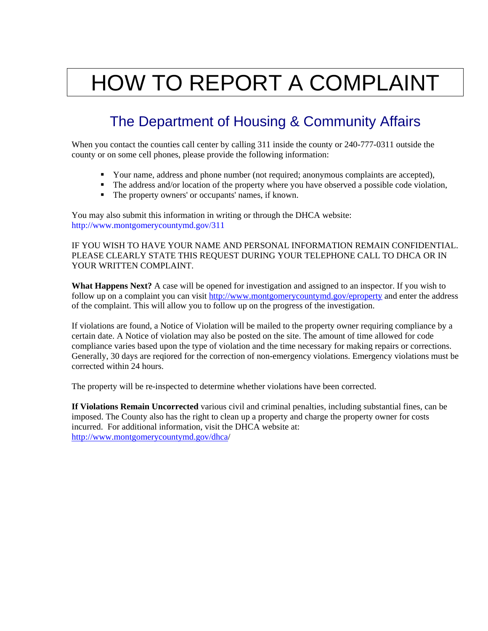## HOW TO REPORT A COMPLAINT

### The Department of Housing & Community Affairs

When you contact the counties call center by calling 311 inside the county or 240-777-0311 outside the county or on some cell phones, please provide the following information:

- Your name, address and phone number (not required; anonymous complaints are accepted),
- The address and/or location of the property where you have observed a possible code violation,
- The property owners' or occupants' names, if known.

You may also submit this information in writing or through the DHCA website: http://www.montgomerycountymd.gov/311

IF YOU WISH TO HAVE YOUR NAME AND PERSONAL INFORMATION REMAIN CONFIDENTIAL. PLEASE CLEARLY STATE THIS REQUEST DURING YOUR TELEPHONE CALL TO DHCA OR IN YOUR WRITTEN COMPLAINT.

**What Happens Next?** A case will be opened for investigation and assigned to an inspector. If you wish to follow up on a complaint you can visit<http://www.montgomerycountymd.gov/eproperty>and enter the address of the complaint. This will allow you to follow up on the progress of the investigation.

If violations are found, a Notice of Violation will be mailed to the property owner requiring compliance by a certain date. A Notice of violation may also be posted on the site. The amount of time allowed for code compliance varies based upon the type of violation and the time necessary for making repairs or corrections. Generally, 30 days are reqiored for the correction of non-emergency violations. Emergency violations must be corrected within 24 hours.

The property will be re-inspected to determine whether violations have been corrected.

**If Violations Remain Uncorrected** various civil and criminal penalties, including substantial fines, can be imposed. The County also has the right to clean up a property and charge the property owner for costs incurred. For additional information, visit the DHCA website at: <http://www.montgomerycountymd.gov/dhca>/